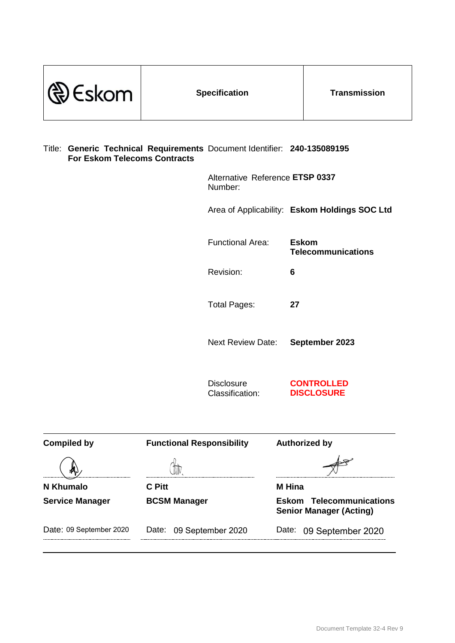| $\mathbb{Q}$ Eskom                                                                                              |  | <b>Specification</b>                       | <b>Transmission</b>                           |
|-----------------------------------------------------------------------------------------------------------------|--|--------------------------------------------|-----------------------------------------------|
| Title: Generic Technical Requirements Document Identifier: 240-135089195<br><b>For Eskom Telecoms Contracts</b> |  |                                            |                                               |
|                                                                                                                 |  | Alternative Reference ETSP 0337<br>Number: |                                               |
|                                                                                                                 |  |                                            | Area of Applicability: Eskom Holdings SOC Ltd |

Functional Area: **Eskom Telecommunications**

Revision: **6**

Total Pages: **27**

Next Review Date: **September 2023**

**Disclosure** Classification: **CONTROLLED DISCLOSURE**

| <b>Compiled by</b>      | <b>Functional Responsibility</b> | <b>Authorized by</b>                                              |
|-------------------------|----------------------------------|-------------------------------------------------------------------|
|                         |                                  |                                                                   |
| N Khumalo               | C Pitt                           | <b>M</b> Hina                                                     |
| <b>Service Manager</b>  | <b>BCSM Manager</b>              | <b>Eskom Telecommunications</b><br><b>Senior Manager (Acting)</b> |
| Date: 09 September 2020 | Date:<br>09 September 2020       | Date:<br>09 September 2020                                        |
|                         |                                  |                                                                   |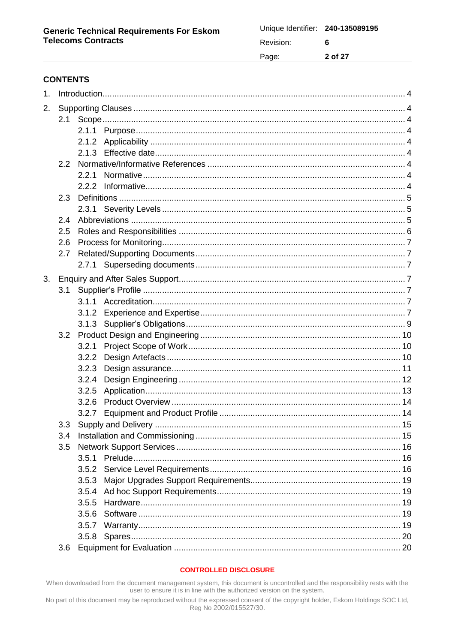| Unique Identifier: 240-135089195 |         |
|----------------------------------|---------|
| Revision:                        | 6       |
| Page:                            | 2 of 27 |

## **CONTENTS**

| 1 <sub>1</sub> |     |       |  |  |
|----------------|-----|-------|--|--|
| 2.             |     |       |  |  |
|                |     |       |  |  |
|                |     |       |  |  |
|                |     |       |  |  |
|                |     |       |  |  |
|                | 2.2 |       |  |  |
|                |     | 2.2.1 |  |  |
|                |     |       |  |  |
|                | 2.3 |       |  |  |
|                |     |       |  |  |
|                | 2.4 |       |  |  |
|                | 2.5 |       |  |  |
|                | 2.6 |       |  |  |
|                | 2.7 |       |  |  |
|                |     |       |  |  |
| 3.             |     |       |  |  |
|                | 3.1 |       |  |  |
|                |     |       |  |  |
|                |     | 3.1.2 |  |  |
|                |     |       |  |  |
|                | 3.2 |       |  |  |
|                |     | 3.2.1 |  |  |
|                |     | 3.2.2 |  |  |
|                |     | 3.2.3 |  |  |
|                |     | 3.2.4 |  |  |
|                |     | 3.2.5 |  |  |
|                |     | 3.2.6 |  |  |
|                |     | 3.2.7 |  |  |
|                |     |       |  |  |
|                | 3.4 |       |  |  |
|                | 3.5 |       |  |  |
|                |     | 3.5.1 |  |  |
|                |     |       |  |  |
|                |     | 3.5.3 |  |  |
|                |     |       |  |  |
|                |     | 3.5.5 |  |  |
|                |     | 3.5.6 |  |  |
|                |     |       |  |  |
|                |     | 3.5.8 |  |  |
|                | 3.6 |       |  |  |

#### **CONTROLLED DISCLOSURE**

When downloaded from the document management system, this document is uncontrolled and the responsibility rests with the user to ensure it is in line with the authorized version on the system.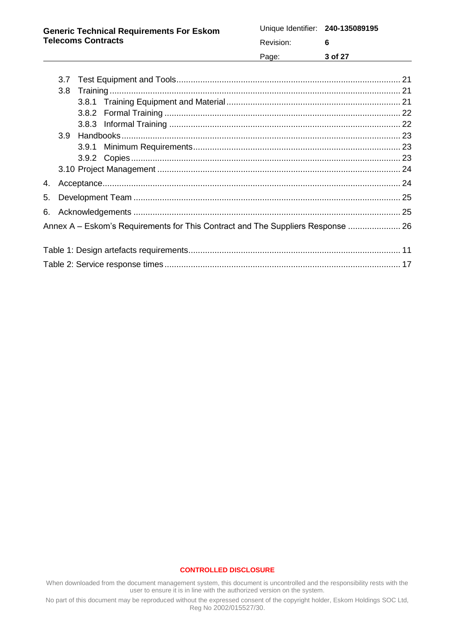| <b>Generic Technical Requirements For Eskom</b><br><b>Telecoms Contracts</b> | Revision: |         |
|------------------------------------------------------------------------------|-----------|---------|
|                                                                              | Page:     | 3 of 27 |

|  | Annex A – Eskom's Requirements for This Contract and The Suppliers Response  26 |  |
|--|---------------------------------------------------------------------------------|--|
|  |                                                                                 |  |
|  |                                                                                 |  |
|  |                                                                                 |  |
|  |                                                                                 |  |

#### **CONTROLLED DISCLOSURE**

When downloaded from the document management system, this document is uncontrolled and the responsibility rests with the user to ensure it is in line with the authorized version on the system.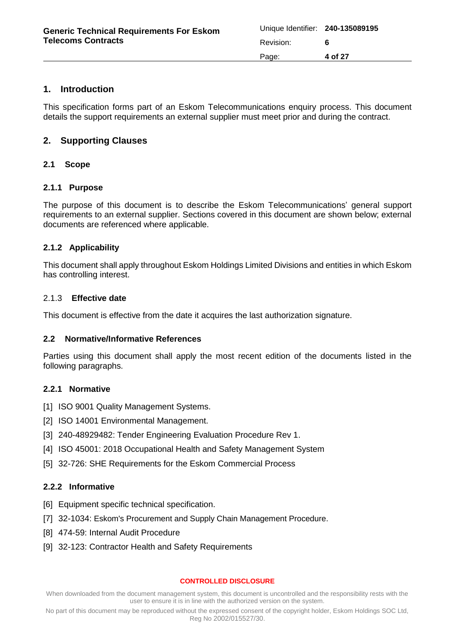| <b>Generic Technical Requirements For Eskom</b> | Unique Identifier: 240-135089195 |         |
|-------------------------------------------------|----------------------------------|---------|
| <b>Telecoms Contracts</b>                       | Revision:                        |         |
|                                                 | Page:                            | 4 of 27 |

## <span id="page-3-0"></span>**1. Introduction**

This specification forms part of an Eskom Telecommunications enquiry process. This document details the support requirements an external supplier must meet prior and during the contract.

## <span id="page-3-1"></span>**2. Supporting Clauses**

### <span id="page-3-2"></span>**2.1 Scope**

### <span id="page-3-3"></span>**2.1.1 Purpose**

The purpose of this document is to describe the Eskom Telecommunications' general support requirements to an external supplier. Sections covered in this document are shown below; external documents are referenced where applicable.

## <span id="page-3-4"></span>**2.1.2 Applicability**

This document shall apply throughout Eskom Holdings Limited Divisions and entities in which Eskom has controlling interest.

### <span id="page-3-5"></span>2.1.3 **Effective date**

This document is effective from the date it acquires the last authorization signature.

### <span id="page-3-6"></span>**2.2 Normative/Informative References**

Parties using this document shall apply the most recent edition of the documents listed in the following paragraphs.

### <span id="page-3-7"></span>**2.2.1 Normative**

- <span id="page-3-9"></span>[1] ISO 9001 Quality Management Systems.
- [2] ISO 14001 Environmental Management.
- [3] 240-48929482: Tender Engineering Evaluation Procedure Rev 1.
- [4] ISO 45001: 2018 Occupational Health and Safety Management System
- [5] 32-726: SHE Requirements for the Eskom Commercial Process

### <span id="page-3-8"></span>**2.2.2 Informative**

- [6] Equipment specific technical specification.
- [7] 32-1034: Eskom's Procurement and Supply Chain Management Procedure.
- [8] 474-59: Internal Audit Procedure
- [9] 32-123: Contractor Health and Safety Requirements

#### **CONTROLLED DISCLOSURE**

When downloaded from the document management system, this document is uncontrolled and the responsibility rests with the user to ensure it is in line with the authorized version on the system.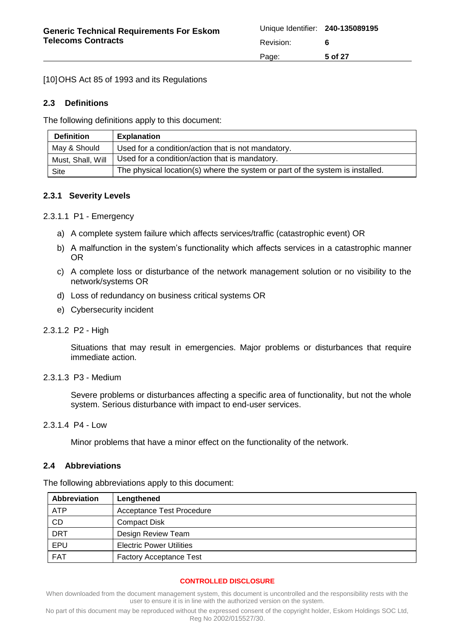[10] OHS Act 85 of 1993 and its Regulations

## <span id="page-4-0"></span>**2.3 Definitions**

The following definitions apply to this document:

| <b>Definition</b> | <b>Explanation</b>                                                            |
|-------------------|-------------------------------------------------------------------------------|
| May & Should      | Used for a condition/action that is not mandatory.                            |
| Must, Shall, Will | Used for a condition/action that is mandatory.                                |
| Site              | The physical location(s) where the system or part of the system is installed. |

### <span id="page-4-1"></span>**2.3.1 Severity Levels**

2.3.1.1 P1 - Emergency

- a) A complete system failure which affects services/traffic (catastrophic event) OR
- b) A malfunction in the system's functionality which affects services in a catastrophic manner OR
- c) A complete loss or disturbance of the network management solution or no visibility to the network/systems OR
- d) Loss of redundancy on business critical systems OR
- e) Cybersecurity incident
- 2.3.1.2 P2 High

Situations that may result in emergencies. Major problems or disturbances that require immediate action.

### 2.3.1.3 P3 - Medium

Severe problems or disturbances affecting a specific area of functionality, but not the whole system. Serious disturbance with impact to end-user services.

### 2.3.1.4 P4 - Low

Minor problems that have a minor effect on the functionality of the network.

### <span id="page-4-2"></span>**2.4 Abbreviations**

The following abbreviations apply to this document:

| Abbreviation | Lengthened                       |
|--------------|----------------------------------|
| ATP          | <b>Acceptance Test Procedure</b> |
| CD           | <b>Compact Disk</b>              |
| <b>DRT</b>   | Design Review Team               |
| EPU          | <b>Electric Power Utilities</b>  |
| <b>FAT</b>   | <b>Factory Acceptance Test</b>   |

### **CONTROLLED DISCLOSURE**

When downloaded from the document management system, this document is uncontrolled and the responsibility rests with the user to ensure it is in line with the authorized version on the system.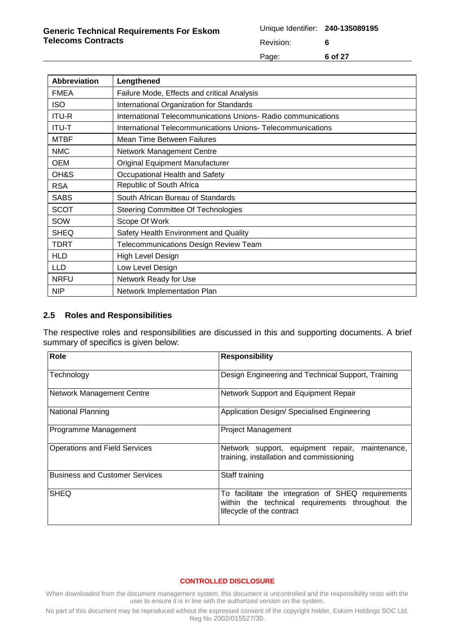| Unique Identifier: 240-135089195 |         |
|----------------------------------|---------|
| Revision:                        | 6       |
| Page:                            | 6 of 27 |

| <b>Abbreviation</b> | Lengthened                                                    |
|---------------------|---------------------------------------------------------------|
| <b>FMEA</b>         | Failure Mode, Effects and critical Analysis                   |
| <b>ISO</b>          | International Organization for Standards                      |
| <b>ITU-R</b>        | International Telecommunications Unions- Radio communications |
| <b>ITU-T</b>        | International Telecommunications Unions-Telecommunications    |
| <b>MTBF</b>         | Mean Time Between Failures                                    |
| <b>NMC</b>          | <b>Network Management Centre</b>                              |
| OEM                 | Original Equipment Manufacturer                               |
| OH&S                | Occupational Health and Safety                                |
| <b>RSA</b>          | Republic of South Africa                                      |
| <b>SABS</b>         | South African Bureau of Standards                             |
| SCOT                | Steering Committee Of Technologies                            |
| SOW                 | Scope Of Work                                                 |
| <b>SHEQ</b>         | Safety Health Environment and Quality                         |
| TDRT                | <b>Telecommunications Design Review Team</b>                  |
| <b>HLD</b>          | High Level Design                                             |
| <b>LLD</b>          | Low Level Design                                              |
| <b>NRFU</b>         | Network Ready for Use                                         |
| <b>NIP</b>          | Network Implementation Plan                                   |

### <span id="page-5-0"></span>**2.5 Roles and Responsibilities**

The respective roles and responsibilities are discussed in this and supporting documents. A brief summary of specifics is given below:

| Role                                  | <b>Responsibility</b>                                                                                                               |
|---------------------------------------|-------------------------------------------------------------------------------------------------------------------------------------|
| Technology                            | Design Engineering and Technical Support, Training                                                                                  |
| <b>Network Management Centre</b>      | Network Support and Equipment Repair                                                                                                |
| <b>National Planning</b>              | Application Design/ Specialised Engineering                                                                                         |
| Programme Management                  | <b>Project Management</b>                                                                                                           |
| Operations and Field Services         | Network support, equipment repair, maintenance,<br>training, installation and commissioning                                         |
| <b>Business and Customer Services</b> | Staff training                                                                                                                      |
| <b>SHEQ</b>                           | To facilitate the integration of SHEQ requirements<br>within the technical requirements throughout the<br>lifecycle of the contract |

#### **CONTROLLED DISCLOSURE**

<span id="page-5-1"></span>When downloaded from the document management system, this document is uncontrolled and the responsibility rests with the user to ensure it is in line with the authorized version on the system.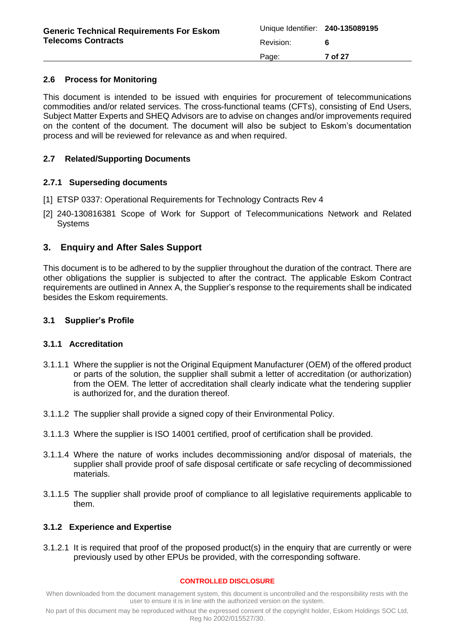## **2.6 Process for Monitoring**

This document is intended to be issued with enquiries for procurement of telecommunications commodities and/or related services. The cross-functional teams (CFTs), consisting of End Users, Subject Matter Experts and SHEQ Advisors are to advise on changes and/or improvements required on the content of the document. The document will also be subject to Eskom's documentation process and will be reviewed for relevance as and when required.

## <span id="page-6-0"></span>**2.7 Related/Supporting Documents**

## <span id="page-6-1"></span>**2.7.1 Superseding documents**

- [1] ETSP 0337: Operational Requirements for Technology Contracts Rev 4
- [2] 240-130816381 Scope of Work for Support of Telecommunications Network and Related Systems

## <span id="page-6-2"></span>**3. Enquiry and After Sales Support**

This document is to be adhered to by the supplier throughout the duration of the contract. There are other obligations the supplier is subjected to after the contract. The applicable Eskom Contract requirements are outlined in [Annex](#page-25-0) A, the Supplier's response to the requirements shall be indicated besides the Eskom requirements.

## <span id="page-6-3"></span>**3.1 Supplier's Profile**

### <span id="page-6-4"></span>**3.1.1 Accreditation**

- 3.1.1.1 Where the supplier is not the Original Equipment Manufacturer (OEM) of the offered product or parts of the solution, the supplier shall submit a letter of accreditation (or authorization) from the OEM. The letter of accreditation shall clearly indicate what the tendering supplier is authorized for, and the duration thereof.
- 3.1.1.2 The supplier shall provide a signed copy of their Environmental Policy.
- 3.1.1.3 Where the supplier is ISO 14001 certified, proof of certification shall be provided.
- 3.1.1.4 Where the nature of works includes decommissioning and/or disposal of materials, the supplier shall provide proof of safe disposal certificate or safe recycling of decommissioned materials.
- 3.1.1.5 The supplier shall provide proof of compliance to all legislative requirements applicable to them.

### <span id="page-6-5"></span>**3.1.2 Experience and Expertise**

3.1.2.1 It is required that proof of the proposed product(s) in the enquiry that are currently or were previously used by other EPUs be provided, with the corresponding software.

#### **CONTROLLED DISCLOSURE**

When downloaded from the document management system, this document is uncontrolled and the responsibility rests with the user to ensure it is in line with the authorized version on the system.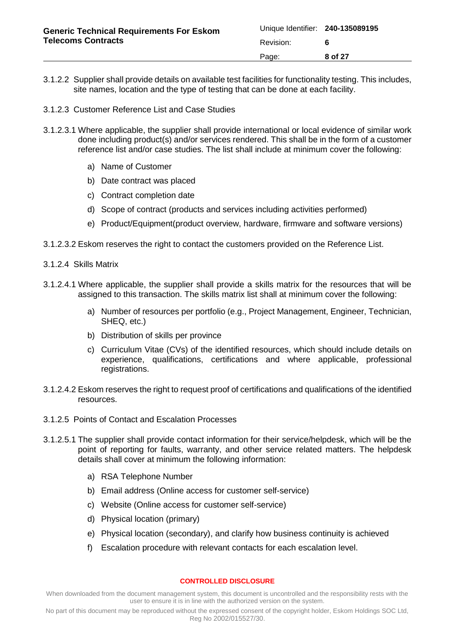| <b>Generic Technical Requirements For Eskom</b><br><b>Telecoms Contracts</b> | Unique Identifier: 240-135089195 |         |
|------------------------------------------------------------------------------|----------------------------------|---------|
|                                                                              | Revision:                        |         |
|                                                                              | Page:                            | 8 of 27 |

- 3.1.2.2 Supplier shall provide details on available test facilities for functionality testing. This includes, site names, location and the type of testing that can be done at each facility.
- 3.1.2.3 Customer Reference List and Case Studies
- 3.1.2.3.1 Where applicable, the supplier shall provide international or local evidence of similar work done including product(s) and/or services rendered. This shall be in the form of a customer reference list and/or case studies. The list shall include at minimum cover the following:
	- a) Name of Customer
	- b) Date contract was placed
	- c) Contract completion date
	- d) Scope of contract (products and services including activities performed)
	- e) Product/Equipment(product overview, hardware, firmware and software versions)
- 3.1.2.3.2 Eskom reserves the right to contact the customers provided on the Reference List.
- 3.1.2.4 Skills Matrix
- 3.1.2.4.1 Where applicable, the supplier shall provide a skills matrix for the resources that will be assigned to this transaction. The skills matrix list shall at minimum cover the following:
	- a) Number of resources per portfolio (e.g., Project Management, Engineer, Technician, SHEQ, etc.)
	- b) Distribution of skills per province
	- c) Curriculum Vitae (CVs) of the identified resources, which should include details on experience, qualifications, certifications and where applicable, professional registrations.
- 3.1.2.4.2 Eskom reserves the right to request proof of certifications and qualifications of the identified resources.
- 3.1.2.5 Points of Contact and Escalation Processes
- 3.1.2.5.1 The supplier shall provide contact information for their service/helpdesk, which will be the point of reporting for faults, warranty, and other service related matters. The helpdesk details shall cover at minimum the following information:
	- a) RSA Telephone Number
	- b) Email address (Online access for customer self-service)
	- c) Website (Online access for customer self-service)
	- d) Physical location (primary)
	- e) Physical location (secondary), and clarify how business continuity is achieved
	- f) Escalation procedure with relevant contacts for each escalation level.

#### **CONTROLLED DISCLOSURE**

When downloaded from the document management system, this document is uncontrolled and the responsibility rests with the user to ensure it is in line with the authorized version on the system.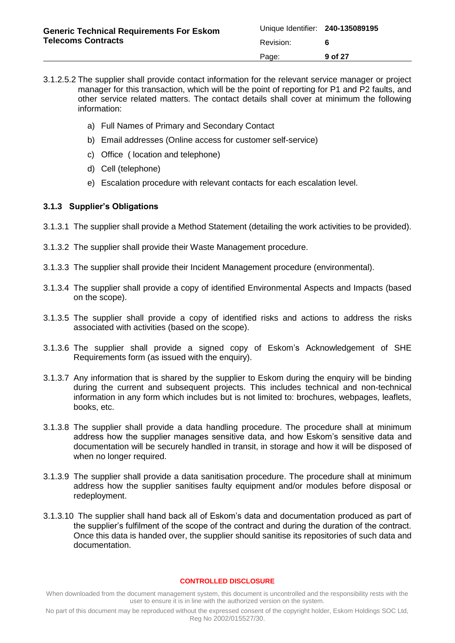- 3.1.2.5.2 The supplier shall provide contact information for the relevant service manager or project manager for this transaction, which will be the point of reporting for P1 and P2 faults, and other service related matters. The contact details shall cover at minimum the following information:
	- a) Full Names of Primary and Secondary Contact
	- b) Email addresses (Online access for customer self-service)
	- c) Office ( location and telephone)
	- d) Cell (telephone)
	- e) Escalation procedure with relevant contacts for each escalation level.

## <span id="page-8-0"></span>**3.1.3 Supplier's Obligations**

- 3.1.3.1 The supplier shall provide a Method Statement (detailing the work activities to be provided).
- 3.1.3.2 The supplier shall provide their Waste Management procedure.
- 3.1.3.3 The supplier shall provide their Incident Management procedure (environmental).
- 3.1.3.4 The supplier shall provide a copy of identified Environmental Aspects and Impacts (based on the scope).
- 3.1.3.5 The supplier shall provide a copy of identified risks and actions to address the risks associated with activities (based on the scope).
- 3.1.3.6 The supplier shall provide a signed copy of Eskom's Acknowledgement of SHE Requirements form (as issued with the enquiry).
- 3.1.3.7 Any information that is shared by the supplier to Eskom during the enquiry will be binding during the current and subsequent projects. This includes technical and non-technical information in any form which includes but is not limited to: brochures, webpages, leaflets, books, etc.
- 3.1.3.8 The supplier shall provide a data handling procedure. The procedure shall at minimum address how the supplier manages sensitive data, and how Eskom's sensitive data and documentation will be securely handled in transit, in storage and how it will be disposed of when no longer required.
- 3.1.3.9 The supplier shall provide a data sanitisation procedure. The procedure shall at minimum address how the supplier sanitises faulty equipment and/or modules before disposal or redeployment.
- 3.1.3.10 The supplier shall hand back all of Eskom's data and documentation produced as part of the supplier's fulfilment of the scope of the contract and during the duration of the contract. Once this data is handed over, the supplier should sanitise its repositories of such data and documentation.

#### **CONTROLLED DISCLOSURE**

When downloaded from the document management system, this document is uncontrolled and the responsibility rests with the user to ensure it is in line with the authorized version on the system.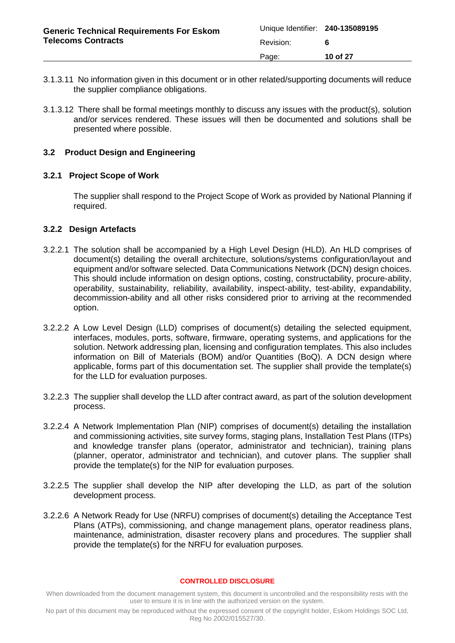| <b>Generic Technical Requirements For Eskom</b><br><b>Telecoms Contracts</b> | Unique Identifier: 240-135089195 |          |
|------------------------------------------------------------------------------|----------------------------------|----------|
|                                                                              | Revision:                        |          |
|                                                                              | Page:                            | 10 of 27 |

- 3.1.3.11 No information given in this document or in other related/supporting documents will reduce the supplier compliance obligations.
- 3.1.3.12 There shall be formal meetings monthly to discuss any issues with the product(s), solution and/or services rendered. These issues will then be documented and solutions shall be presented where possible.

### <span id="page-9-0"></span>**3.2 Product Design and Engineering**

### <span id="page-9-1"></span>**3.2.1 Project Scope of Work**

The supplier shall respond to the Project Scope of Work as provided by National Planning if required.

### <span id="page-9-2"></span>**3.2.2 Design Artefacts**

- 3.2.2.1 The solution shall be accompanied by a High Level Design (HLD). An HLD comprises of document(s) detailing the overall architecture, solutions/systems configuration/layout and equipment and/or software selected. Data Communications Network (DCN) design choices. This should include information on design options, costing, constructability, procure-ability, operability, sustainability, reliability, availability, inspect-ability, test-ability, expandability, decommission-ability and all other risks considered prior to arriving at the recommended option.
- 3.2.2.2 A Low Level Design (LLD) comprises of document(s) detailing the selected equipment, interfaces, modules, ports, software, firmware, operating systems, and applications for the solution. Network addressing plan, licensing and configuration templates. This also includes information on Bill of Materials (BOM) and/or Quantities (BoQ). A DCN design where applicable, forms part of this documentation set. The supplier shall provide the template(s) for the LLD for evaluation purposes.
- 3.2.2.3 The supplier shall develop the LLD after contract award, as part of the solution development process.
- 3.2.2.4 A Network Implementation Plan (NIP) comprises of document(s) detailing the installation and commissioning activities, site survey forms, staging plans, Installation Test Plans (ITPs) and knowledge transfer plans (operator, administrator and technician), training plans (planner, operator, administrator and technician), and cutover plans. The supplier shall provide the template(s) for the NIP for evaluation purposes.
- 3.2.2.5 The supplier shall develop the NIP after developing the LLD, as part of the solution development process.
- 3.2.2.6 A Network Ready for Use (NRFU) comprises of document(s) detailing the Acceptance Test Plans (ATPs), commissioning, and change management plans, operator readiness plans, maintenance, administration, disaster recovery plans and procedures. The supplier shall provide the template(s) for the NRFU for evaluation purposes.

#### **CONTROLLED DISCLOSURE**

When downloaded from the document management system, this document is uncontrolled and the responsibility rests with the user to ensure it is in line with the authorized version on the system.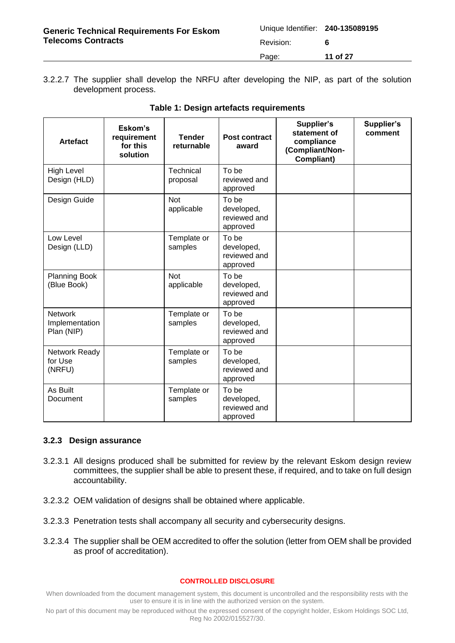| <b>Generic Technical Requirements For Eskom</b><br><b>Telecoms Contracts</b> | Unique Identifier: 240-135089195 |          |
|------------------------------------------------------------------------------|----------------------------------|----------|
|                                                                              | Revision:                        |          |
|                                                                              | Page:                            | 11 of 27 |

3.2.2.7 The supplier shall develop the NRFU after developing the NIP, as part of the solution development process.

<span id="page-10-1"></span>

| <b>Artefact</b>                                | Eskom's<br>requirement<br>for this<br>solution | <b>Tender</b><br>returnable | <b>Post contract</b><br>award                   | Supplier's<br>statement of<br>compliance<br>(Compliant/Non-<br><b>Compliant)</b> | Supplier's<br>comment |
|------------------------------------------------|------------------------------------------------|-----------------------------|-------------------------------------------------|----------------------------------------------------------------------------------|-----------------------|
| <b>High Level</b><br>Design (HLD)              |                                                | Technical<br>proposal       | To be<br>reviewed and<br>approved               |                                                                                  |                       |
| Design Guide                                   |                                                | <b>Not</b><br>applicable    | To be<br>developed,<br>reviewed and<br>approved |                                                                                  |                       |
| Low Level<br>Design (LLD)                      |                                                | Template or<br>samples      | To be<br>developed,<br>reviewed and<br>approved |                                                                                  |                       |
| <b>Planning Book</b><br>(Blue Book)            |                                                | <b>Not</b><br>applicable    | To be<br>developed,<br>reviewed and<br>approved |                                                                                  |                       |
| <b>Network</b><br>Implementation<br>Plan (NIP) |                                                | Template or<br>samples      | To be<br>developed,<br>reviewed and<br>approved |                                                                                  |                       |
| Network Ready<br>for Use<br>(NRFU)             |                                                | Template or<br>samples      | To be<br>developed,<br>reviewed and<br>approved |                                                                                  |                       |
| As Built<br>Document                           |                                                | Template or<br>samples      | To be<br>developed,<br>reviewed and<br>approved |                                                                                  |                       |

### **Table 1: Design artefacts requirements**

#### <span id="page-10-0"></span>**3.2.3 Design assurance**

- 3.2.3.1 All designs produced shall be submitted for review by the relevant Eskom design review committees, the supplier shall be able to present these, if required, and to take on full design accountability.
- 3.2.3.2 OEM validation of designs shall be obtained where applicable.
- 3.2.3.3 Penetration tests shall accompany all security and cybersecurity designs.
- 3.2.3.4 The supplier shall be OEM accredited to offer the solution (letter from OEM shall be provided as proof of accreditation).

#### **CONTROLLED DISCLOSURE**

When downloaded from the document management system, this document is uncontrolled and the responsibility rests with the user to ensure it is in line with the authorized version on the system.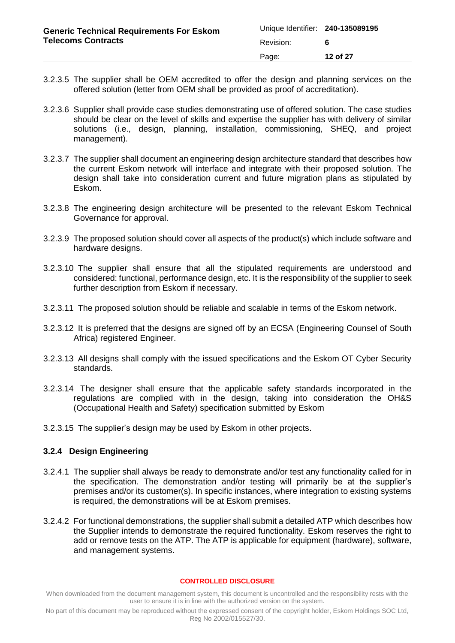| <b>Generic Technical Requirements For Eskom</b><br><b>Telecoms Contracts</b> | Unique Identifier: 240-135089195 |          |
|------------------------------------------------------------------------------|----------------------------------|----------|
|                                                                              | Revision:                        |          |
|                                                                              | Page:                            | 12 of 27 |

- 3.2.3.5 The supplier shall be OEM accredited to offer the design and planning services on the offered solution (letter from OEM shall be provided as proof of accreditation).
- 3.2.3.6 Supplier shall provide case studies demonstrating use of offered solution. The case studies should be clear on the level of skills and expertise the supplier has with delivery of similar solutions (i.e., design, planning, installation, commissioning, SHEQ, and project management).
- 3.2.3.7 The supplier shall document an engineering design architecture standard that describes how the current Eskom network will interface and integrate with their proposed solution. The design shall take into consideration current and future migration plans as stipulated by Eskom.
- 3.2.3.8 The engineering design architecture will be presented to the relevant Eskom Technical Governance for approval.
- 3.2.3.9 The proposed solution should cover all aspects of the product(s) which include software and hardware designs.
- 3.2.3.10 The supplier shall ensure that all the stipulated requirements are understood and considered: functional, performance design, etc. It is the responsibility of the supplier to seek further description from Eskom if necessary.
- 3.2.3.11 The proposed solution should be reliable and scalable in terms of the Eskom network.
- 3.2.3.12 It is preferred that the designs are signed off by an ECSA (Engineering Counsel of South Africa) registered Engineer.
- 3.2.3.13 All designs shall comply with the issued specifications and the Eskom OT Cyber Security standards.
- 3.2.3.14 The designer shall ensure that the applicable safety standards incorporated in the regulations are complied with in the design, taking into consideration the OH&S (Occupational Health and Safety) specification submitted by Eskom
- 3.2.3.15 The supplier's design may be used by Eskom in other projects.

### <span id="page-11-0"></span>**3.2.4 Design Engineering**

- 3.2.4.1 The supplier shall always be ready to demonstrate and/or test any functionality called for in the specification. The demonstration and/or testing will primarily be at the supplier's premises and/or its customer(s). In specific instances, where integration to existing systems is required, the demonstrations will be at Eskom premises.
- 3.2.4.2 For functional demonstrations, the supplier shall submit a detailed ATP which describes how the Supplier intends to demonstrate the required functionality. Eskom reserves the right to add or remove tests on the ATP. The ATP is applicable for equipment (hardware), software, and management systems.

#### **CONTROLLED DISCLOSURE**

When downloaded from the document management system, this document is uncontrolled and the responsibility rests with the user to ensure it is in line with the authorized version on the system.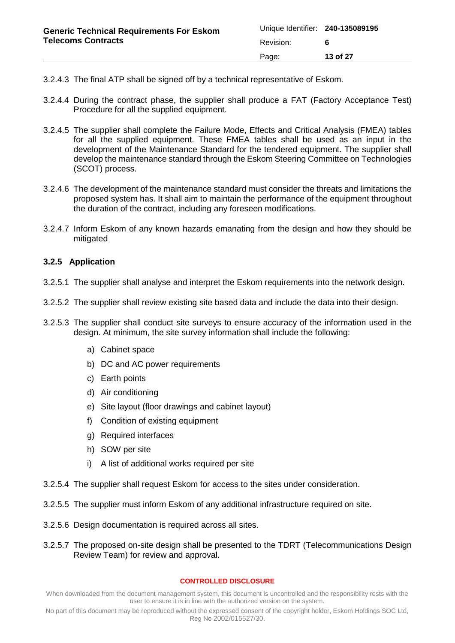- 3.2.4.3 The final ATP shall be signed off by a technical representative of Eskom.
- 3.2.4.4 During the contract phase, the supplier shall produce a FAT (Factory Acceptance Test) Procedure for all the supplied equipment.
- 3.2.4.5 The supplier shall complete the Failure Mode, Effects and Critical Analysis (FMEA) tables for all the supplied equipment. These FMEA tables shall be used as an input in the development of the Maintenance Standard for the tendered equipment. The supplier shall develop the maintenance standard through the Eskom Steering Committee on Technologies (SCOT) process.
- 3.2.4.6 The development of the maintenance standard must consider the threats and limitations the proposed system has. It shall aim to maintain the performance of the equipment throughout the duration of the contract, including any foreseen modifications.
- 3.2.4.7 Inform Eskom of any known hazards emanating from the design and how they should be mitigated

## <span id="page-12-0"></span>**3.2.5 Application**

- 3.2.5.1 The supplier shall analyse and interpret the Eskom requirements into the network design.
- 3.2.5.2 The supplier shall review existing site based data and include the data into their design.
- 3.2.5.3 The supplier shall conduct site surveys to ensure accuracy of the information used in the design. At minimum, the site survey information shall include the following:
	- a) Cabinet space
	- b) DC and AC power requirements
	- c) Earth points
	- d) Air conditioning
	- e) Site layout (floor drawings and cabinet layout)
	- f) Condition of existing equipment
	- g) Required interfaces
	- h) SOW per site
	- i) A list of additional works required per site
- 3.2.5.4 The supplier shall request Eskom for access to the sites under consideration.
- 3.2.5.5 The supplier must inform Eskom of any additional infrastructure required on site.
- 3.2.5.6 Design documentation is required across all sites.
- 3.2.5.7 The proposed on-site design shall be presented to the TDRT (Telecommunications Design Review Team) for review and approval.

#### **CONTROLLED DISCLOSURE**

When downloaded from the document management system, this document is uncontrolled and the responsibility rests with the user to ensure it is in line with the authorized version on the system.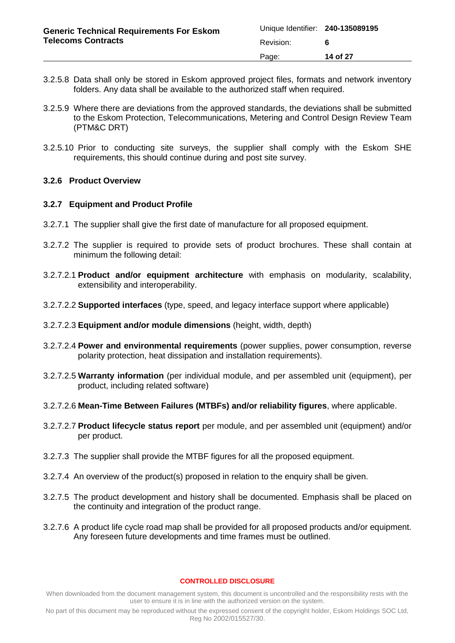| <b>Generic Technical Requirements For Eskom</b><br><b>Telecoms Contracts</b> | Unique Identifier: 240-135089195 |          |
|------------------------------------------------------------------------------|----------------------------------|----------|
|                                                                              | Revision:                        |          |
|                                                                              | Page:                            | 14 of 27 |

- 3.2.5.8 Data shall only be stored in Eskom approved project files, formats and network inventory folders. Any data shall be available to the authorized staff when required.
- 3.2.5.9 Where there are deviations from the approved standards, the deviations shall be submitted to the Eskom Protection, Telecommunications, Metering and Control Design Review Team (PTM&C DRT)
- 3.2.5.10 Prior to conducting site surveys, the supplier shall comply with the Eskom SHE requirements, this should continue during and post site survey.

### <span id="page-13-0"></span>**3.2.6 Product Overview**

#### <span id="page-13-1"></span>**3.2.7 Equipment and Product Profile**

- 3.2.7.1 The supplier shall give the first date of manufacture for all proposed equipment.
- 3.2.7.2 The supplier is required to provide sets of product brochures. These shall contain at minimum the following detail:
- 3.2.7.2.1 **Product and/or equipment architecture** with emphasis on modularity, scalability, extensibility and interoperability.
- 3.2.7.2.2 **Supported interfaces** (type, speed, and legacy interface support where applicable)
- 3.2.7.2.3 **Equipment and/or module dimensions** (height, width, depth)
- 3.2.7.2.4 **Power and environmental requirements** (power supplies, power consumption, reverse polarity protection, heat dissipation and installation requirements).
- 3.2.7.2.5 **Warranty information** (per individual module, and per assembled unit (equipment), per product, including related software)
- 3.2.7.2.6 **Mean-Time Between Failures (MTBFs) and/or reliability figures**, where applicable.
- 3.2.7.2.7 **Product lifecycle status report** per module, and per assembled unit (equipment) and/or per product.
- 3.2.7.3 The supplier shall provide the MTBF figures for all the proposed equipment.
- 3.2.7.4 An overview of the product(s) proposed in relation to the enquiry shall be given.
- 3.2.7.5 The product development and history shall be documented. Emphasis shall be placed on the continuity and integration of the product range.
- 3.2.7.6 A product life cycle road map shall be provided for all proposed products and/or equipment. Any foreseen future developments and time frames must be outlined.

#### **CONTROLLED DISCLOSURE**

When downloaded from the document management system, this document is uncontrolled and the responsibility rests with the user to ensure it is in line with the authorized version on the system.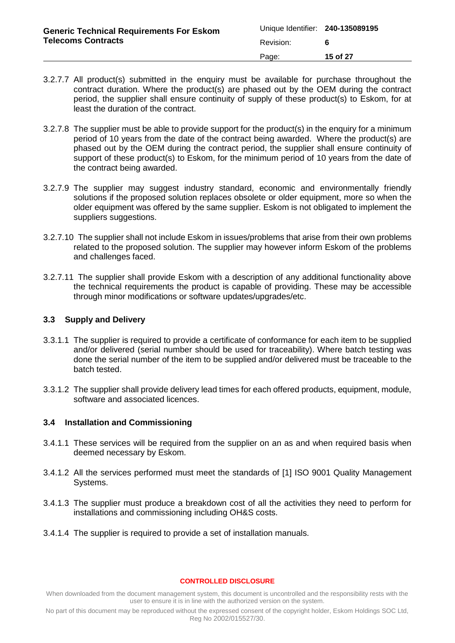| <b>Generic Technical Requirements For Eskom</b><br><b>Telecoms Contracts</b> | Unique Identifier: 240-135089195 |          |
|------------------------------------------------------------------------------|----------------------------------|----------|
|                                                                              | Revision:                        |          |
|                                                                              | Page:                            | 15 of 27 |

- 3.2.7.7 All product(s) submitted in the enquiry must be available for purchase throughout the contract duration. Where the product(s) are phased out by the OEM during the contract period, the supplier shall ensure continuity of supply of these product(s) to Eskom, for at least the duration of the contract.
- 3.2.7.8 The supplier must be able to provide support for the product(s) in the enquiry for a minimum period of 10 years from the date of the contract being awarded. Where the product(s) are phased out by the OEM during the contract period, the supplier shall ensure continuity of support of these product(s) to Eskom, for the minimum period of 10 years from the date of the contract being awarded.
- 3.2.7.9 The supplier may suggest industry standard, economic and environmentally friendly solutions if the proposed solution replaces obsolete or older equipment, more so when the older equipment was offered by the same supplier. Eskom is not obligated to implement the suppliers suggestions.
- 3.2.7.10 The supplier shall not include Eskom in issues/problems that arise from their own problems related to the proposed solution. The supplier may however inform Eskom of the problems and challenges faced.
- 3.2.7.11 The supplier shall provide Eskom with a description of any additional functionality above the technical requirements the product is capable of providing. These may be accessible through minor modifications or software updates/upgrades/etc.

## <span id="page-14-0"></span>**3.3 Supply and Delivery**

- 3.3.1.1 The supplier is required to provide a certificate of conformance for each item to be supplied and/or delivered (serial number should be used for traceability). Where batch testing was done the serial number of the item to be supplied and/or delivered must be traceable to the batch tested.
- 3.3.1.2 The supplier shall provide delivery lead times for each offered products, equipment, module, software and associated licences.

### <span id="page-14-1"></span>**3.4 Installation and Commissioning**

- 3.4.1.1 These services will be required from the supplier on an as and when required basis when deemed necessary by Eskom.
- 3.4.1.2 All the services performed must meet the standards of [\[1\]](#page-3-9) [ISO 9001 Quality Management](#page-3-9)  [Systems.](#page-3-9)
- 3.4.1.3 The supplier must produce a breakdown cost of all the activities they need to perform for installations and commissioning including OH&S costs.
- 3.4.1.4 The supplier is required to provide a set of installation manuals.

#### **CONTROLLED DISCLOSURE**

When downloaded from the document management system, this document is uncontrolled and the responsibility rests with the user to ensure it is in line with the authorized version on the system.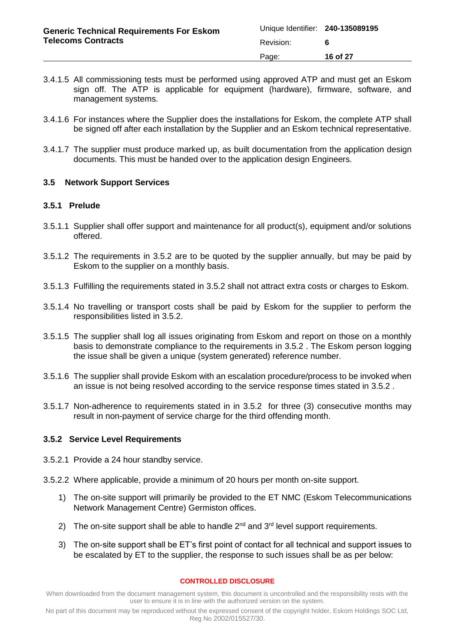- 3.4.1.5 All commissioning tests must be performed using approved ATP and must get an Eskom sign off. The ATP is applicable for equipment (hardware), firmware, software, and management systems.
- 3.4.1.6 For instances where the Supplier does the installations for Eskom, the complete ATP shall be signed off after each installation by the Supplier and an Eskom technical representative.
- 3.4.1.7 The supplier must produce marked up, as built documentation from the application design documents. This must be handed over to the application design Engineers.

## <span id="page-15-0"></span>**3.5 Network Support Services**

## <span id="page-15-1"></span>**3.5.1 Prelude**

- 3.5.1.1 Supplier shall offer support and maintenance for all product(s), equipment and/or solutions offered.
- 3.5.1.2 The requirements in [3.5.2](#page-15-2) are to be quoted by the supplier annually, but may be paid by Eskom to the supplier on a monthly basis.
- 3.5.1.3 Fulfilling the requirements stated in [3.5.2](#page-15-2) shall not attract extra costs or charges to Eskom.
- 3.5.1.4 No travelling or transport costs shall be paid by Eskom for the supplier to perform the responsibilities listed in [3.5.2.](#page-15-2)
- 3.5.1.5 The supplier shall log all issues originating from Eskom and report on those on a monthly basis to demonstrate compliance to the requirements in [3.5.2](#page-15-2) . The Eskom person logging the issue shall be given a unique (system generated) reference number.
- 3.5.1.6 The supplier shall provide Eskom with an escalation procedure/process to be invoked when an issue is not being resolved according to the service response times stated in [3.5.2](#page-15-2) .
- 3.5.1.7 Non-adherence to requirements stated in in [3.5.2](#page-15-2) for three (3) consecutive months may result in non-payment of service charge for the third offending month.

## <span id="page-15-2"></span>**3.5.2 Service Level Requirements**

- 3.5.2.1 Provide a 24 hour standby service.
- 3.5.2.2 Where applicable, provide a minimum of 20 hours per month on-site support.
	- 1) The on-site support will primarily be provided to the ET NMC (Eskom Telecommunications Network Management Centre) Germiston offices.
	- 2) The on-site support shall be able to handle  $2^{nd}$  and  $3^{rd}$  level support requirements.
	- 3) The on-site support shall be ET's first point of contact for all technical and support issues to be escalated by ET to the supplier, the response to such issues shall be as per below:

#### **CONTROLLED DISCLOSURE**

When downloaded from the document management system, this document is uncontrolled and the responsibility rests with the user to ensure it is in line with the authorized version on the system.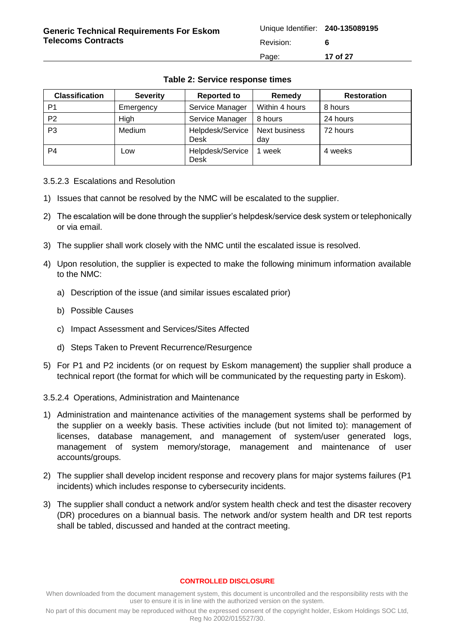<span id="page-16-0"></span>

| <b>Classification</b> | <b>Severity</b> | <b>Reported to</b>              | Remedy               | <b>Restoration</b> |
|-----------------------|-----------------|---------------------------------|----------------------|--------------------|
| P1                    | Emergency       | Service Manager                 | Within 4 hours       | 8 hours            |
| P <sub>2</sub>        | High            | Service Manager                 | 8 hours              | 24 hours           |
| P3                    | Medium          | Helpdesk/Service<br><b>Desk</b> | Next business<br>day | 72 hours           |
| P4                    | Low             | Helpdesk/Service<br><b>Desk</b> | week                 | 4 weeks            |

## **Table 2: Service response times**

3.5.2.3 Escalations and Resolution

- 1) Issues that cannot be resolved by the NMC will be escalated to the supplier.
- 2) The escalation will be done through the supplier's helpdesk/service desk system or telephonically or via email.
- 3) The supplier shall work closely with the NMC until the escalated issue is resolved.
- 4) Upon resolution, the supplier is expected to make the following minimum information available to the NMC:
	- a) Description of the issue (and similar issues escalated prior)
	- b) Possible Causes
	- c) Impact Assessment and Services/Sites Affected
	- d) Steps Taken to Prevent Recurrence/Resurgence
- 5) For P1 and P2 incidents (or on request by Eskom management) the supplier shall produce a technical report (the format for which will be communicated by the requesting party in Eskom).
- 3.5.2.4 Operations, Administration and Maintenance
- 1) Administration and maintenance activities of the management systems shall be performed by the supplier on a weekly basis. These activities include (but not limited to): management of licenses, database management, and management of system/user generated logs, management of system memory/storage, management and maintenance of user accounts/groups.
- 2) The supplier shall develop incident response and recovery plans for major systems failures (P1 incidents) which includes response to cybersecurity incidents.
- 3) The supplier shall conduct a network and/or system health check and test the disaster recovery (DR) procedures on a biannual basis. The network and/or system health and DR test reports shall be tabled, discussed and handed at the contract meeting.

#### **CONTROLLED DISCLOSURE**

When downloaded from the document management system, this document is uncontrolled and the responsibility rests with the user to ensure it is in line with the authorized version on the system.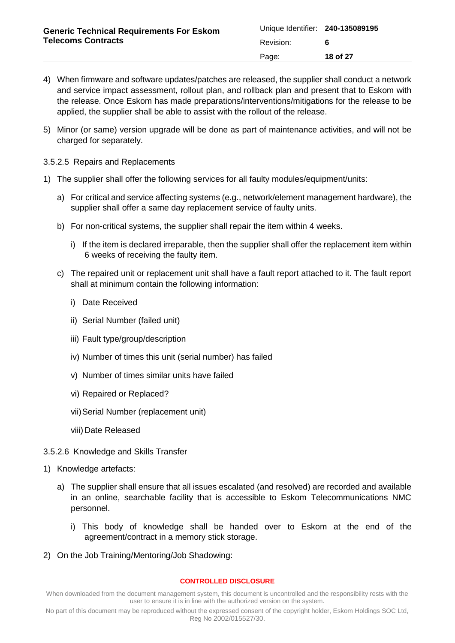- 4) When firmware and software updates/patches are released, the supplier shall conduct a network and service impact assessment, rollout plan, and rollback plan and present that to Eskom with the release. Once Eskom has made preparations/interventions/mitigations for the release to be applied, the supplier shall be able to assist with the rollout of the release.
- 5) Minor (or same) version upgrade will be done as part of maintenance activities, and will not be charged for separately.
- 3.5.2.5 Repairs and Replacements
- 1) The supplier shall offer the following services for all faulty modules/equipment/units:
	- a) For critical and service affecting systems (e.g., network/element management hardware), the supplier shall offer a same day replacement service of faulty units.
	- b) For non-critical systems, the supplier shall repair the item within 4 weeks.
		- i) If the item is declared irreparable, then the supplier shall offer the replacement item within 6 weeks of receiving the faulty item.
	- c) The repaired unit or replacement unit shall have a fault report attached to it. The fault report shall at minimum contain the following information:
		- i) Date Received
		- ii) Serial Number (failed unit)
		- iii) Fault type/group/description
		- iv) Number of times this unit (serial number) has failed
		- v) Number of times similar units have failed
		- vi) Repaired or Replaced?
		- vii)Serial Number (replacement unit)
		- viii) Date Released
- 3.5.2.6 Knowledge and Skills Transfer
- 1) Knowledge artefacts:
	- a) The supplier shall ensure that all issues escalated (and resolved) are recorded and available in an online, searchable facility that is accessible to Eskom Telecommunications NMC personnel.
		- i) This body of knowledge shall be handed over to Eskom at the end of the agreement/contract in a memory stick storage.
- 2) On the Job Training/Mentoring/Job Shadowing:

#### **CONTROLLED DISCLOSURE**

When downloaded from the document management system, this document is uncontrolled and the responsibility rests with the user to ensure it is in line with the authorized version on the system.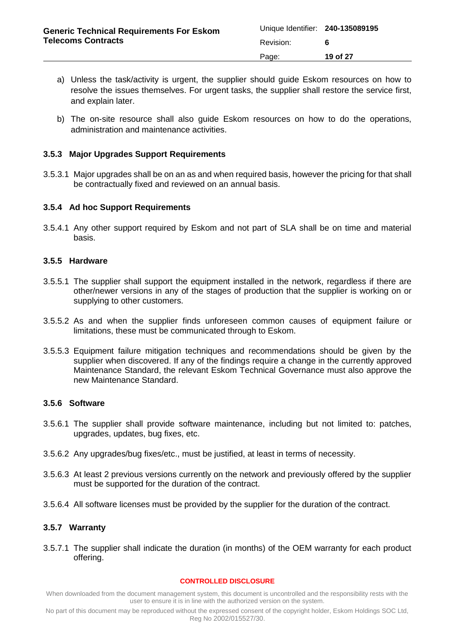| <b>Generic Technical Requirements For Eskom</b><br><b>Telecoms Contracts</b> | Unique Identifier: 240-135089195 |          |
|------------------------------------------------------------------------------|----------------------------------|----------|
|                                                                              | Revision:                        |          |
|                                                                              | Page:                            | 19 of 27 |

- a) Unless the task/activity is urgent, the supplier should guide Eskom resources on how to resolve the issues themselves. For urgent tasks, the supplier shall restore the service first, and explain later.
- b) The on-site resource shall also guide Eskom resources on how to do the operations, administration and maintenance activities.

## <span id="page-18-0"></span>**3.5.3 Major Upgrades Support Requirements**

3.5.3.1 Major upgrades shall be on an as and when required basis, however the pricing for that shall be contractually fixed and reviewed on an annual basis.

## <span id="page-18-1"></span>**3.5.4 Ad hoc Support Requirements**

3.5.4.1 Any other support required by Eskom and not part of SLA shall be on time and material basis.

### <span id="page-18-2"></span>**3.5.5 Hardware**

- 3.5.5.1 The supplier shall support the equipment installed in the network, regardless if there are other/newer versions in any of the stages of production that the supplier is working on or supplying to other customers.
- 3.5.5.2 As and when the supplier finds unforeseen common causes of equipment failure or limitations, these must be communicated through to Eskom.
- 3.5.5.3 Equipment failure mitigation techniques and recommendations should be given by the supplier when discovered. If any of the findings require a change in the currently approved Maintenance Standard, the relevant Eskom Technical Governance must also approve the new Maintenance Standard.

### <span id="page-18-3"></span>**3.5.6 Software**

- 3.5.6.1 The supplier shall provide software maintenance, including but not limited to: patches, upgrades, updates, bug fixes, etc.
- 3.5.6.2 Any upgrades/bug fixes/etc., must be justified, at least in terms of necessity.
- 3.5.6.3 At least 2 previous versions currently on the network and previously offered by the supplier must be supported for the duration of the contract.
- 3.5.6.4 All software licenses must be provided by the supplier for the duration of the contract.

### <span id="page-18-4"></span>**3.5.7 Warranty**

3.5.7.1 The supplier shall indicate the duration (in months) of the OEM warranty for each product offering.

#### **CONTROLLED DISCLOSURE**

When downloaded from the document management system, this document is uncontrolled and the responsibility rests with the user to ensure it is in line with the authorized version on the system.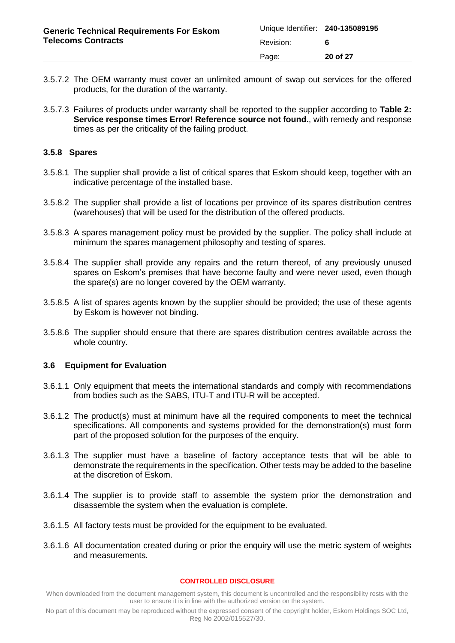- 3.5.7.2 The OEM warranty must cover an unlimited amount of swap out services for the offered products, for the duration of the warranty.
- 3.5.7.3 Failures of products under warranty shall be reported to the supplier according to **[Table](#page-16-0) 2: [Service response times](#page-16-0) Error! Reference source not found.**, with remedy and response times as per the criticality of the failing product.

## <span id="page-19-0"></span>**3.5.8 Spares**

- 3.5.8.1 The supplier shall provide a list of critical spares that Eskom should keep, together with an indicative percentage of the installed base.
- 3.5.8.2 The supplier shall provide a list of locations per province of its spares distribution centres (warehouses) that will be used for the distribution of the offered products.
- 3.5.8.3 A spares management policy must be provided by the supplier. The policy shall include at minimum the spares management philosophy and testing of spares.
- 3.5.8.4 The supplier shall provide any repairs and the return thereof, of any previously unused spares on Eskom's premises that have become faulty and were never used, even though the spare(s) are no longer covered by the OEM warranty.
- 3.5.8.5 A list of spares agents known by the supplier should be provided; the use of these agents by Eskom is however not binding.
- 3.5.8.6 The supplier should ensure that there are spares distribution centres available across the whole country.

### <span id="page-19-1"></span>**3.6 Equipment for Evaluation**

- 3.6.1.1 Only equipment that meets the international standards and comply with recommendations from bodies such as the SABS, ITU-T and ITU-R will be accepted.
- 3.6.1.2 The product(s) must at minimum have all the required components to meet the technical specifications. All components and systems provided for the demonstration(s) must form part of the proposed solution for the purposes of the enquiry.
- 3.6.1.3 The supplier must have a baseline of factory acceptance tests that will be able to demonstrate the requirements in the specification. Other tests may be added to the baseline at the discretion of Eskom.
- 3.6.1.4 The supplier is to provide staff to assemble the system prior the demonstration and disassemble the system when the evaluation is complete.
- 3.6.1.5 All factory tests must be provided for the equipment to be evaluated.
- 3.6.1.6 All documentation created during or prior the enquiry will use the metric system of weights and measurements.

#### **CONTROLLED DISCLOSURE**

When downloaded from the document management system, this document is uncontrolled and the responsibility rests with the user to ensure it is in line with the authorized version on the system.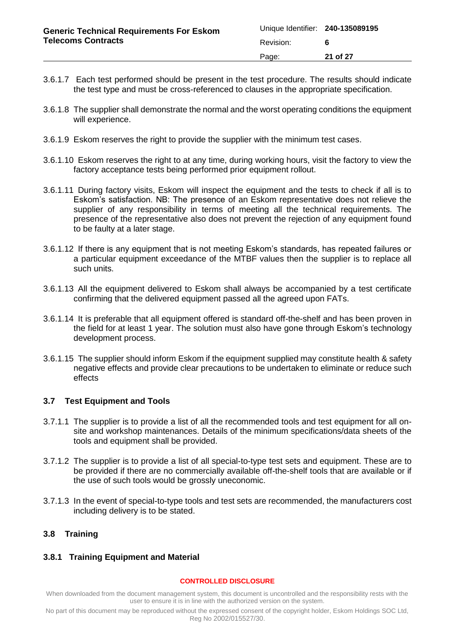| <b>Generic Technical Requirements For Eskom</b><br><b>Telecoms Contracts</b> | Unique Identifier: 240-135089195 |          |
|------------------------------------------------------------------------------|----------------------------------|----------|
|                                                                              | Revision:                        |          |
|                                                                              | Page:                            | 21 of 27 |

- 3.6.1.7 Each test performed should be present in the test procedure. The results should indicate the test type and must be cross-referenced to clauses in the appropriate specification.
- 3.6.1.8 The supplier shall demonstrate the normal and the worst operating conditions the equipment will experience.
- 3.6.1.9 Eskom reserves the right to provide the supplier with the minimum test cases.
- 3.6.1.10 Eskom reserves the right to at any time, during working hours, visit the factory to view the factory acceptance tests being performed prior equipment rollout.
- 3.6.1.11 During factory visits, Eskom will inspect the equipment and the tests to check if all is to Eskom's satisfaction. NB: The presence of an Eskom representative does not relieve the supplier of any responsibility in terms of meeting all the technical requirements. The presence of the representative also does not prevent the rejection of any equipment found to be faulty at a later stage.
- 3.6.1.12 If there is any equipment that is not meeting Eskom's standards, has repeated failures or a particular equipment exceedance of the MTBF values then the supplier is to replace all such units.
- 3.6.1.13 All the equipment delivered to Eskom shall always be accompanied by a test certificate confirming that the delivered equipment passed all the agreed upon FATs.
- 3.6.1.14 It is preferable that all equipment offered is standard off-the-shelf and has been proven in the field for at least 1 year. The solution must also have gone through Eskom's technology development process.
- 3.6.1.15 The supplier should inform Eskom if the equipment supplied may constitute health & safety negative effects and provide clear precautions to be undertaken to eliminate or reduce such effects

### <span id="page-20-0"></span>**3.7 Test Equipment and Tools**

- 3.7.1.1 The supplier is to provide a list of all the recommended tools and test equipment for all onsite and workshop maintenances. Details of the minimum specifications/data sheets of the tools and equipment shall be provided.
- 3.7.1.2 The supplier is to provide a list of all special-to-type test sets and equipment. These are to be provided if there are no commercially available off-the-shelf tools that are available or if the use of such tools would be grossly uneconomic.
- 3.7.1.3 In the event of special-to-type tools and test sets are recommended, the manufacturers cost including delivery is to be stated.

## <span id="page-20-1"></span>**3.8 Training**

### <span id="page-20-2"></span>**3.8.1 Training Equipment and Material**

#### **CONTROLLED DISCLOSURE**

When downloaded from the document management system, this document is uncontrolled and the responsibility rests with the user to ensure it is in line with the authorized version on the system.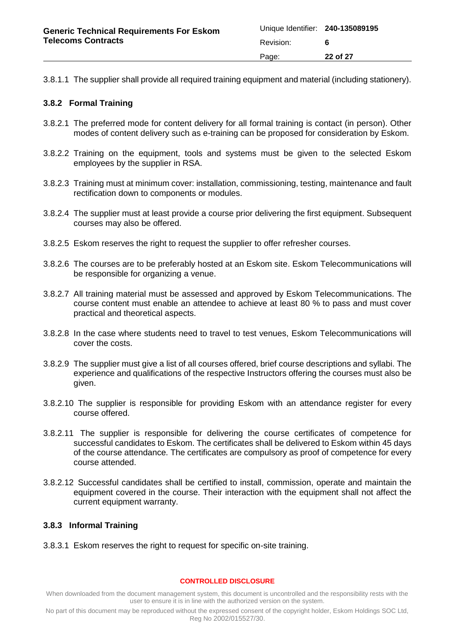3.8.1.1 The supplier shall provide all required training equipment and material (including stationery).

## <span id="page-21-0"></span>**3.8.2 Formal Training**

- 3.8.2.1 The preferred mode for content delivery for all formal training is contact (in person). Other modes of content delivery such as e-training can be proposed for consideration by Eskom.
- 3.8.2.2 Training on the equipment, tools and systems must be given to the selected Eskom employees by the supplier in RSA.
- 3.8.2.3 Training must at minimum cover: installation, commissioning, testing, maintenance and fault rectification down to components or modules.
- 3.8.2.4 The supplier must at least provide a course prior delivering the first equipment. Subsequent courses may also be offered.
- 3.8.2.5 Eskom reserves the right to request the supplier to offer refresher courses.
- 3.8.2.6 The courses are to be preferably hosted at an Eskom site. Eskom Telecommunications will be responsible for organizing a venue.
- 3.8.2.7 All training material must be assessed and approved by Eskom Telecommunications. The course content must enable an attendee to achieve at least 80 % to pass and must cover practical and theoretical aspects.
- 3.8.2.8 In the case where students need to travel to test venues, Eskom Telecommunications will cover the costs.
- 3.8.2.9 The supplier must give a list of all courses offered, brief course descriptions and syllabi. The experience and qualifications of the respective Instructors offering the courses must also be given.
- 3.8.2.10 The supplier is responsible for providing Eskom with an attendance register for every course offered.
- 3.8.2.11 The supplier is responsible for delivering the course certificates of competence for successful candidates to Eskom. The certificates shall be delivered to Eskom within 45 days of the course attendance. The certificates are compulsory as proof of competence for every course attended.
- 3.8.2.12 Successful candidates shall be certified to install, commission, operate and maintain the equipment covered in the course. Their interaction with the equipment shall not affect the current equipment warranty.

## <span id="page-21-1"></span>**3.8.3 Informal Training**

3.8.3.1 Eskom reserves the right to request for specific on-site training.

#### **CONTROLLED DISCLOSURE**

When downloaded from the document management system, this document is uncontrolled and the responsibility rests with the user to ensure it is in line with the authorized version on the system.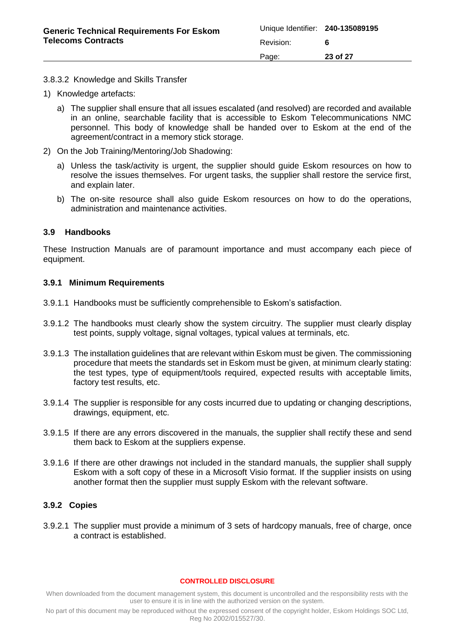#### 3.8.3.2 Knowledge and Skills Transfer

- 1) Knowledge artefacts:
	- a) The supplier shall ensure that all issues escalated (and resolved) are recorded and available in an online, searchable facility that is accessible to Eskom Telecommunications NMC personnel. This body of knowledge shall be handed over to Eskom at the end of the agreement/contract in a memory stick storage.
- 2) On the Job Training/Mentoring/Job Shadowing:
	- a) Unless the task/activity is urgent, the supplier should guide Eskom resources on how to resolve the issues themselves. For urgent tasks, the supplier shall restore the service first, and explain later.
	- b) The on-site resource shall also guide Eskom resources on how to do the operations, administration and maintenance activities.

### <span id="page-22-0"></span>**3.9 Handbooks**

These Instruction Manuals are of paramount importance and must accompany each piece of equipment.

#### <span id="page-22-1"></span>**3.9.1 Minimum Requirements**

- 3.9.1.1 Handbooks must be sufficiently comprehensible to Eskom's satisfaction.
- 3.9.1.2 The handbooks must clearly show the system circuitry. The supplier must clearly display test points, supply voltage, signal voltages, typical values at terminals, etc.
- 3.9.1.3 The installation guidelines that are relevant within Eskom must be given. The commissioning procedure that meets the standards set in Eskom must be given, at minimum clearly stating: the test types, type of equipment/tools required, expected results with acceptable limits, factory test results, etc.
- 3.9.1.4 The supplier is responsible for any costs incurred due to updating or changing descriptions, drawings, equipment, etc.
- 3.9.1.5 If there are any errors discovered in the manuals, the supplier shall rectify these and send them back to Eskom at the suppliers expense.
- 3.9.1.6 If there are other drawings not included in the standard manuals, the supplier shall supply Eskom with a soft copy of these in a Microsoft Visio format. If the supplier insists on using another format then the supplier must supply Eskom with the relevant software.

### <span id="page-22-2"></span>**3.9.2 Copies**

3.9.2.1 The supplier must provide a minimum of 3 sets of hardcopy manuals, free of charge, once a contract is established.

#### **CONTROLLED DISCLOSURE**

When downloaded from the document management system, this document is uncontrolled and the responsibility rests with the user to ensure it is in line with the authorized version on the system.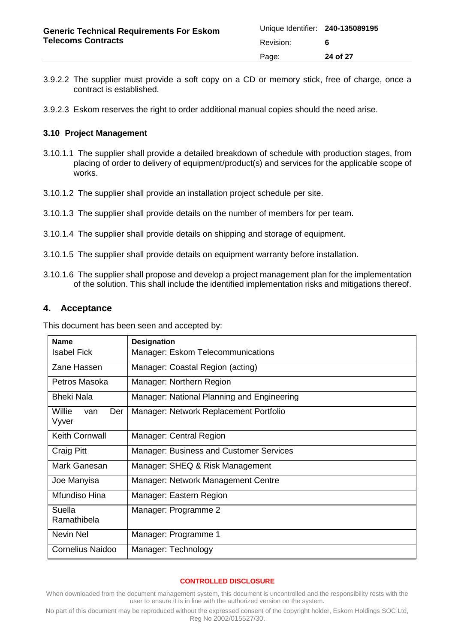- 3.9.2.2 The supplier must provide a soft copy on a CD or memory stick, free of charge, once a contract is established.
- 3.9.2.3 Eskom reserves the right to order additional manual copies should the need arise.

## <span id="page-23-0"></span>**3.10 Project Management**

- 3.10.1.1 The supplier shall provide a detailed breakdown of schedule with production stages, from placing of order to delivery of equipment/product(s) and services for the applicable scope of works.
- 3.10.1.2 The supplier shall provide an installation project schedule per site.
- 3.10.1.3 The supplier shall provide details on the number of members for per team.
- 3.10.1.4 The supplier shall provide details on shipping and storage of equipment.
- 3.10.1.5 The supplier shall provide details on equipment warranty before installation.
- 3.10.1.6 The supplier shall propose and develop a project management plan for the implementation of the solution. This shall include the identified implementation risks and mitigations thereof.

## <span id="page-23-1"></span>**4. Acceptance**

This document has been seen and accepted by:

| <b>Name</b>                   | <b>Designation</b>                             |
|-------------------------------|------------------------------------------------|
| <b>Isabel Fick</b>            | Manager: Eskom Telecommunications              |
| Zane Hassen                   | Manager: Coastal Region (acting)               |
| Petros Masoka                 | Manager: Northern Region                       |
| <b>Bheki Nala</b>             | Manager: National Planning and Engineering     |
| Willie<br>Der<br>van<br>Vyver | Manager: Network Replacement Portfolio         |
| Keith Cornwall                | Manager: Central Region                        |
| <b>Craig Pitt</b>             | <b>Manager: Business and Customer Services</b> |
| Mark Ganesan                  | Manager: SHEQ & Risk Management                |
| Joe Manyisa                   | Manager: Network Management Centre             |
| Mfundiso Hina                 | Manager: Eastern Region                        |
| Suella<br>Ramathibela         | Manager: Programme 2                           |
| Nevin Nel                     | Manager: Programme 1                           |
| <b>Cornelius Naidoo</b>       | Manager: Technology                            |

#### **CONTROLLED DISCLOSURE**

When downloaded from the document management system, this document is uncontrolled and the responsibility rests with the user to ensure it is in line with the authorized version on the system.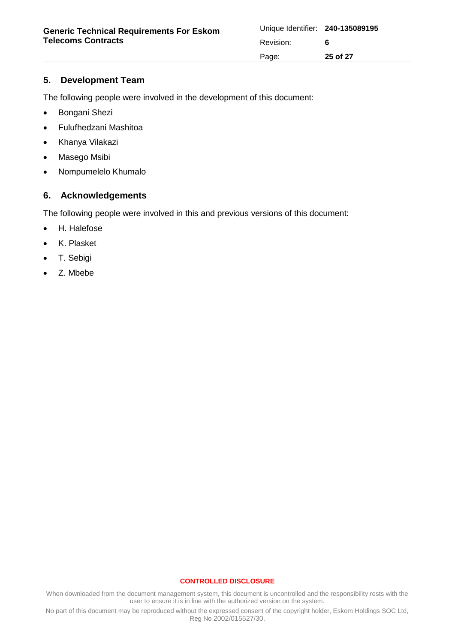# <span id="page-24-0"></span>**5. Development Team**

The following people were involved in the development of this document:

- Bongani Shezi
- Fulufhedzani Mashitoa
- Khanya Vilakazi
- Masego Msibi
- Nompumelelo Khumalo

## <span id="page-24-1"></span>**6. Acknowledgements**

The following people were involved in this and previous versions of this document:

- H. Halefose
- K. Plasket
- T. Sebigi
- Z. Mbebe

#### **CONTROLLED DISCLOSURE**

When downloaded from the document management system, this document is uncontrolled and the responsibility rests with the user to ensure it is in line with the authorized version on the system.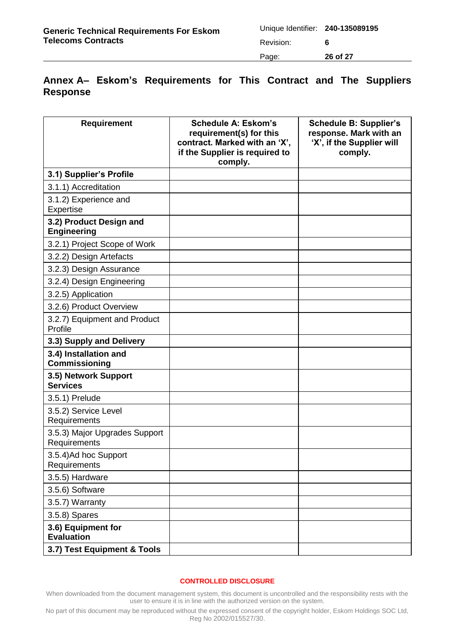| <b>Generic Technical Requirements For Eskom</b><br><b>Telecoms Contracts</b> | Unique Identifier: 240-135089195 |          |
|------------------------------------------------------------------------------|----------------------------------|----------|
|                                                                              | Revision:                        |          |
|                                                                              | Page:                            | 26 of 27 |

# <span id="page-25-0"></span>**Annex A– Eskom's Requirements for This Contract and The Suppliers Response**

| <b>Requirement</b>                            | <b>Schedule A: Eskom's</b><br>requirement(s) for this<br>contract. Marked with an 'X',<br>if the Supplier is required to<br>comply. | <b>Schedule B: Supplier's</b><br>response. Mark with an<br>'X', if the Supplier will<br>comply. |
|-----------------------------------------------|-------------------------------------------------------------------------------------------------------------------------------------|-------------------------------------------------------------------------------------------------|
| 3.1) Supplier's Profile                       |                                                                                                                                     |                                                                                                 |
| 3.1.1) Accreditation                          |                                                                                                                                     |                                                                                                 |
| 3.1.2) Experience and<br>Expertise            |                                                                                                                                     |                                                                                                 |
| 3.2) Product Design and<br><b>Engineering</b> |                                                                                                                                     |                                                                                                 |
| 3.2.1) Project Scope of Work                  |                                                                                                                                     |                                                                                                 |
| 3.2.2) Design Artefacts                       |                                                                                                                                     |                                                                                                 |
| 3.2.3) Design Assurance                       |                                                                                                                                     |                                                                                                 |
| 3.2.4) Design Engineering                     |                                                                                                                                     |                                                                                                 |
| 3.2.5) Application                            |                                                                                                                                     |                                                                                                 |
| 3.2.6) Product Overview                       |                                                                                                                                     |                                                                                                 |
| 3.2.7) Equipment and Product<br>Profile       |                                                                                                                                     |                                                                                                 |
| 3.3) Supply and Delivery                      |                                                                                                                                     |                                                                                                 |
| 3.4) Installation and<br><b>Commissioning</b> |                                                                                                                                     |                                                                                                 |
| 3.5) Network Support<br><b>Services</b>       |                                                                                                                                     |                                                                                                 |
| 3.5.1) Prelude                                |                                                                                                                                     |                                                                                                 |
| 3.5.2) Service Level<br>Requirements          |                                                                                                                                     |                                                                                                 |
| 3.5.3) Major Upgrades Support<br>Requirements |                                                                                                                                     |                                                                                                 |
| 3.5.4) Ad hoc Support<br>Requirements         |                                                                                                                                     |                                                                                                 |
| 3.5.5) Hardware                               |                                                                                                                                     |                                                                                                 |
| 3.5.6) Software                               |                                                                                                                                     |                                                                                                 |
| 3.5.7) Warranty                               |                                                                                                                                     |                                                                                                 |
| 3.5.8) Spares                                 |                                                                                                                                     |                                                                                                 |
| 3.6) Equipment for<br><b>Evaluation</b>       |                                                                                                                                     |                                                                                                 |
| 3.7) Test Equipment & Tools                   |                                                                                                                                     |                                                                                                 |

#### **CONTROLLED DISCLOSURE**

When downloaded from the document management system, this document is uncontrolled and the responsibility rests with the user to ensure it is in line with the authorized version on the system.